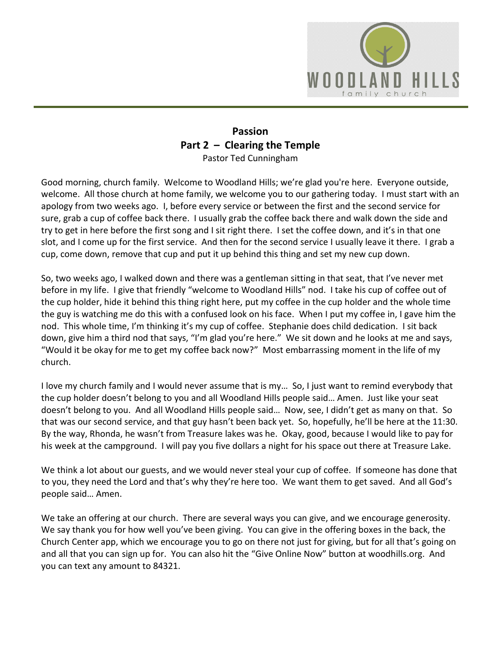

## **Passion Part 2 – Clearing the Temple** Pastor Ted Cunningham

Good morning, church family. Welcome to Woodland Hills; we're glad you're here. Everyone outside, welcome. All those church at home family, we welcome you to our gathering today. I must start with an apology from two weeks ago. I, before every service or between the first and the second service for sure, grab a cup of coffee back there. I usually grab the coffee back there and walk down the side and try to get in here before the first song and I sit right there. I set the coffee down, and it's in that one slot, and I come up for the first service. And then for the second service I usually leave it there. I grab a cup, come down, remove that cup and put it up behind this thing and set my new cup down.

So, two weeks ago, I walked down and there was a gentleman sitting in that seat, that I've never met before in my life. I give that friendly "welcome to Woodland Hills" nod. I take his cup of coffee out of the cup holder, hide it behind this thing right here, put my coffee in the cup holder and the whole time the guy is watching me do this with a confused look on his face. When I put my coffee in, I gave him the nod. This whole time, I'm thinking it's my cup of coffee. Stephanie does child dedication. I sit back down, give him a third nod that says, "I'm glad you're here." We sit down and he looks at me and says, "Would it be okay for me to get my coffee back now?" Most embarrassing moment in the life of my church.

I love my church family and I would never assume that is my… So, I just want to remind everybody that the cup holder doesn't belong to you and all Woodland Hills people said… Amen. Just like your seat doesn't belong to you. And all Woodland Hills people said… Now, see, I didn't get as many on that. So that was our second service, and that guy hasn't been back yet. So, hopefully, he'll be here at the 11:30. By the way, Rhonda, he wasn't from Treasure lakes was he. Okay, good, because I would like to pay for his week at the campground. I will pay you five dollars a night for his space out there at Treasure Lake.

We think a lot about our guests, and we would never steal your cup of coffee. If someone has done that to you, they need the Lord and that's why they're here too. We want them to get saved. And all God's people said… Amen.

We take an offering at our church. There are several ways you can give, and we encourage generosity. We say thank you for how well you've been giving. You can give in the offering boxes in the back, the Church Center app, which we encourage you to go on there not just for giving, but for all that's going on and all that you can sign up for. You can also hit the "Give Online Now" button at woodhills.org. And you can text any amount to 84321.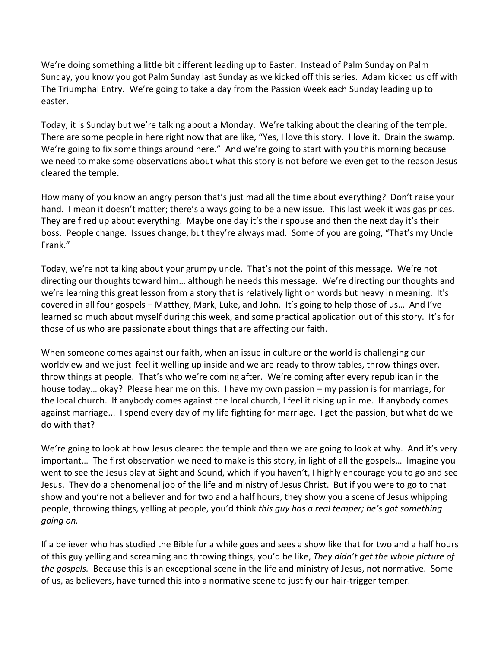We're doing something a little bit different leading up to Easter. Instead of Palm Sunday on Palm Sunday, you know you got Palm Sunday last Sunday as we kicked off this series. Adam kicked us off with The Triumphal Entry. We're going to take a day from the Passion Week each Sunday leading up to easter.

Today, it is Sunday but we're talking about a Monday. We're talking about the clearing of the temple. There are some people in here right now that are like, "Yes, I love this story. I love it. Drain the swamp. We're going to fix some things around here." And we're going to start with you this morning because we need to make some observations about what this story is not before we even get to the reason Jesus cleared the temple.

How many of you know an angry person that's just mad all the time about everything? Don't raise your hand. I mean it doesn't matter; there's always going to be a new issue. This last week it was gas prices. They are fired up about everything. Maybe one day it's their spouse and then the next day it's their boss. People change. Issues change, but they're always mad. Some of you are going, "That's my Uncle Frank."

Today, we're not talking about your grumpy uncle. That's not the point of this message. We're not directing our thoughts toward him… although he needs this message. We're directing our thoughts and we're learning this great lesson from a story that is relatively light on words but heavy in meaning. It's covered in all four gospels – Matthey, Mark, Luke, and John. It's going to help those of us… And I've learned so much about myself during this week, and some practical application out of this story. It's for those of us who are passionate about things that are affecting our faith.

When someone comes against our faith, when an issue in culture or the world is challenging our worldview and we just feel it welling up inside and we are ready to throw tables, throw things over, throw things at people. That's who we're coming after. We're coming after every republican in the house today… okay? Please hear me on this. I have my own passion – my passion is for marriage, for the local church. If anybody comes against the local church, I feel it rising up in me. If anybody comes against marriage... I spend every day of my life fighting for marriage. I get the passion, but what do we do with that?

We're going to look at how Jesus cleared the temple and then we are going to look at why. And it's very important… The first observation we need to make is this story, in light of all the gospels… Imagine you went to see the Jesus play at Sight and Sound, which if you haven't, I highly encourage you to go and see Jesus. They do a phenomenal job of the life and ministry of Jesus Christ. But if you were to go to that show and you're not a believer and for two and a half hours, they show you a scene of Jesus whipping people, throwing things, yelling at people, you'd think *this guy has a real temper; he's got something going on.*

If a believer who has studied the Bible for a while goes and sees a show like that for two and a half hours of this guy yelling and screaming and throwing things, you'd be like, *They didn't get the whole picture of the gospels.* Because this is an exceptional scene in the life and ministry of Jesus, not normative. Some of us, as believers, have turned this into a normative scene to justify our hair-trigger temper.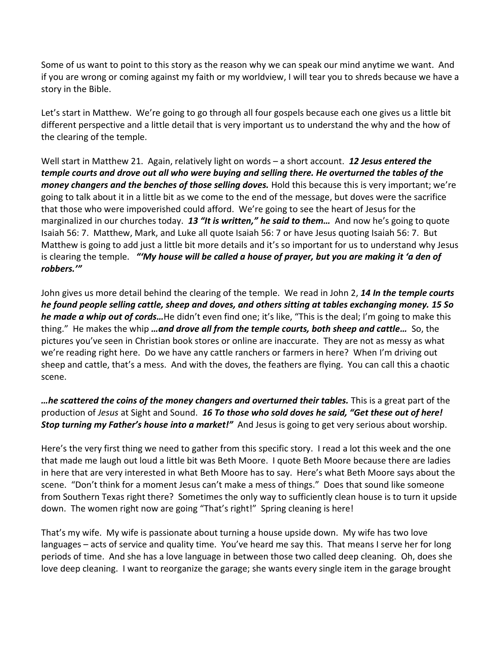Some of us want to point to this story as the reason why we can speak our mind anytime we want. And if you are wrong or coming against my faith or my worldview, I will tear you to shreds because we have a story in the Bible.

Let's start in Matthew. We're going to go through all four gospels because each one gives us a little bit different perspective and a little detail that is very important us to understand the why and the how of the clearing of the temple.

Well start in Matthew 21. Again, relatively light on words – a short account. *12 Jesus entered the temple courts and drove out all who were buying and selling there. He overturned the tables of the money changers and the benches of those selling doves.* Hold this because this is very important; we're going to talk about it in a little bit as we come to the end of the message, but doves were the sacrifice that those who were impoverished could afford. We're going to see the heart of Jesus for the marginalized in our churches today. *13 "It is written," he said to them…* And now he's going to quote Isaiah 56: 7. Matthew, Mark, and Luke all quote Isaiah 56: 7 or have Jesus quoting Isaiah 56: 7. But Matthew is going to add just a little bit more details and it's so important for us to understand why Jesus is clearing the temple. *"'My house will be called a house of prayer, but you are making it 'a den of robbers.'"*

John gives us more detail behind the clearing of the temple. We read in John 2, *14 In the temple courts he found people selling cattle, sheep and doves, and others sitting at tables exchanging money. 15 So he made a whip out of cords…*He didn't even find one; it's like, "This is the deal; I'm going to make this thing." He makes the whip *…and drove all from the temple courts, both sheep and cattle…* So, the pictures you've seen in Christian book stores or online are inaccurate. They are not as messy as what we're reading right here. Do we have any cattle ranchers or farmers in here? When I'm driving out sheep and cattle, that's a mess. And with the doves, the feathers are flying. You can call this a chaotic scene.

*…he scattered the coins of the money changers and overturned their tables.* This is a great part of the production of *Jesus* at Sight and Sound. *16 To those who sold doves he said, "Get these out of here! Stop turning my Father's house into a market!"* And Jesus is going to get very serious about worship.

Here's the very first thing we need to gather from this specific story. I read a lot this week and the one that made me laugh out loud a little bit was Beth Moore. I quote Beth Moore because there are ladies in here that are very interested in what Beth Moore has to say. Here's what Beth Moore says about the scene. "Don't think for a moment Jesus can't make a mess of things." Does that sound like someone from Southern Texas right there? Sometimes the only way to sufficiently clean house is to turn it upside down. The women right now are going "That's right!" Spring cleaning is here!

That's my wife. My wife is passionate about turning a house upside down. My wife has two love languages – acts of service and quality time. You've heard me say this. That means I serve her for long periods of time. And she has a love language in between those two called deep cleaning. Oh, does she love deep cleaning. I want to reorganize the garage; she wants every single item in the garage brought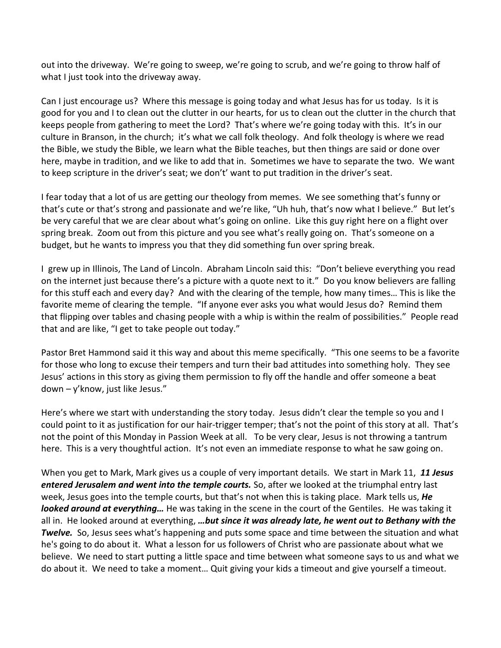out into the driveway. We're going to sweep, we're going to scrub, and we're going to throw half of what I just took into the driveway away.

Can I just encourage us? Where this message is going today and what Jesus has for us today. Is it is good for you and I to clean out the clutter in our hearts, for us to clean out the clutter in the church that keeps people from gathering to meet the Lord? That's where we're going today with this. It's in our culture in Branson, in the church; it's what we call folk theology. And folk theology is where we read the Bible, we study the Bible, we learn what the Bible teaches, but then things are said or done over here, maybe in tradition, and we like to add that in. Sometimes we have to separate the two. We want to keep scripture in the driver's seat; we don't' want to put tradition in the driver's seat.

I fear today that a lot of us are getting our theology from memes. We see something that's funny or that's cute or that's strong and passionate and we're like, "Uh huh, that's now what I believe." But let's be very careful that we are clear about what's going on online. Like this guy right here on a flight over spring break. Zoom out from this picture and you see what's really going on. That's someone on a budget, but he wants to impress you that they did something fun over spring break.

I grew up in Illinois, The Land of Lincoln. Abraham Lincoln said this: "Don't believe everything you read on the internet just because there's a picture with a quote next to it." Do you know believers are falling for this stuff each and every day? And with the clearing of the temple, how many times… This is like the favorite meme of clearing the temple. "If anyone ever asks you what would Jesus do? Remind them that flipping over tables and chasing people with a whip is within the realm of possibilities." People read that and are like, "I get to take people out today."

Pastor Bret Hammond said it this way and about this meme specifically. "This one seems to be a favorite for those who long to excuse their tempers and turn their bad attitudes into something holy. They see Jesus' actions in this story as giving them permission to fly off the handle and offer someone a beat down – y'know, just like Jesus."

Here's where we start with understanding the story today. Jesus didn't clear the temple so you and I could point to it as justification for our hair-trigger temper; that's not the point of this story at all. That's not the point of this Monday in Passion Week at all. To be very clear, Jesus is not throwing a tantrum here. This is a very thoughtful action. It's not even an immediate response to what he saw going on.

When you get to Mark, Mark gives us a couple of very important details. We start in Mark 11, *11 Jesus entered Jerusalem and went into the temple courts.* So, after we looked at the triumphal entry last week, Jesus goes into the temple courts, but that's not when this is taking place. Mark tells us, *He looked around at everything…* He was taking in the scene in the court of the Gentiles. He was taking it all in. He looked around at everything, *…but since it was already late, he went out to Bethany with the Twelve.* So, Jesus sees what's happening and puts some space and time between the situation and what he's going to do about it. What a lesson for us followers of Christ who are passionate about what we believe. We need to start putting a little space and time between what someone says to us and what we do about it. We need to take a moment… Quit giving your kids a timeout and give yourself a timeout.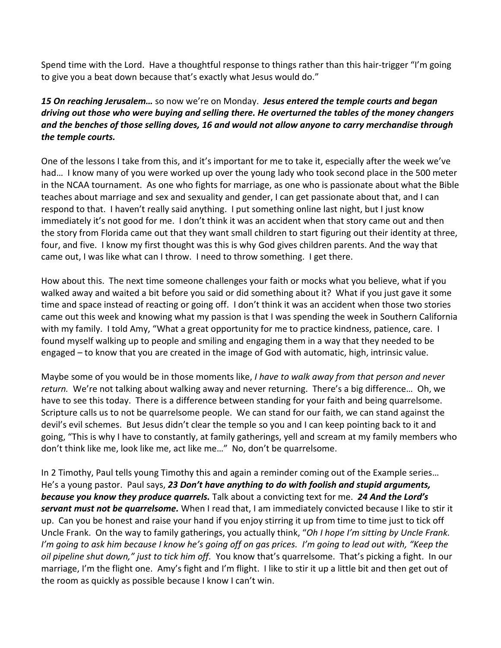Spend time with the Lord. Have a thoughtful response to things rather than this hair-trigger "I'm going to give you a beat down because that's exactly what Jesus would do."

## *15 On reaching Jerusalem…* so now we're on Monday. *Jesus entered the temple courts and began driving out those who were buying and selling there. He overturned the tables of the money changers and the benches of those selling doves, 16 and would not allow anyone to carry merchandise through the temple courts.*

One of the lessons I take from this, and it's important for me to take it, especially after the week we've had… I know many of you were worked up over the young lady who took second place in the 500 meter in the NCAA tournament. As one who fights for marriage, as one who is passionate about what the Bible teaches about marriage and sex and sexuality and gender, I can get passionate about that, and I can respond to that. I haven't really said anything. I put something online last night, but I just know immediately it's not good for me. I don't think it was an accident when that story came out and then the story from Florida came out that they want small children to start figuring out their identity at three, four, and five. I know my first thought was this is why God gives children parents. And the way that came out, I was like what can I throw. I need to throw something. I get there.

How about this. The next time someone challenges your faith or mocks what you believe, what if you walked away and waited a bit before you said or did something about it? What if you just gave it some time and space instead of reacting or going off. I don't think it was an accident when those two stories came out this week and knowing what my passion is that I was spending the week in Southern California with my family. I told Amy, "What a great opportunity for me to practice kindness, patience, care. I found myself walking up to people and smiling and engaging them in a way that they needed to be engaged – to know that you are created in the image of God with automatic, high, intrinsic value.

Maybe some of you would be in those moments like, *I have to walk away from that person and never return.* We're not talking about walking away and never returning. There's a big difference… Oh, we have to see this today. There is a difference between standing for your faith and being quarrelsome. Scripture calls us to not be quarrelsome people. We can stand for our faith, we can stand against the devil's evil schemes. But Jesus didn't clear the temple so you and I can keep pointing back to it and going, "This is why I have to constantly, at family gatherings, yell and scream at my family members who don't think like me, look like me, act like me…" No, don't be quarrelsome.

In 2 Timothy, Paul tells young Timothy this and again a reminder coming out of the Example series… He's a young pastor. Paul says, *23 Don't have anything to do with foolish and stupid arguments, because you know they produce quarrels.* Talk about a convicting text for me. *24 And the Lord's servant must not be quarrelsome.* When I read that, I am immediately convicted because I like to stir it up. Can you be honest and raise your hand if you enjoy stirring it up from time to time just to tick off Uncle Frank. On the way to family gatherings, you actually think, "*Oh I hope I'm sitting by Uncle Frank. I'm going to ask him because I know he's going off on gas prices. I'm going to lead out with, "Keep the oil pipeline shut down," just to tick him off.* You know that's quarrelsome. That's picking a fight. In our marriage, I'm the flight one. Amy's fight and I'm flight. I like to stir it up a little bit and then get out of the room as quickly as possible because I know I can't win.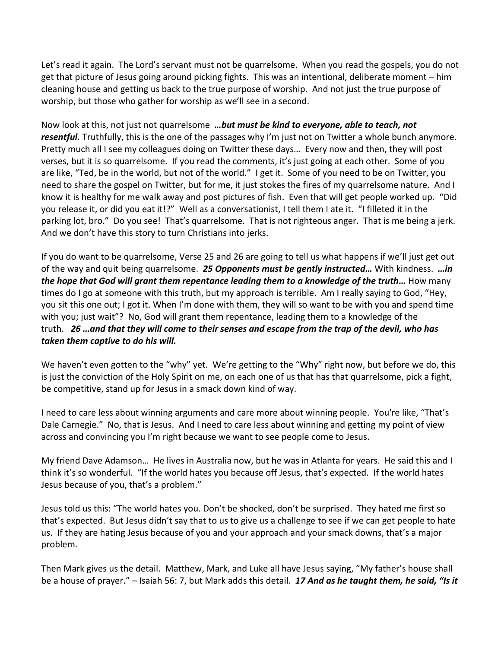Let's read it again. The Lord's servant must not be quarrelsome. When you read the gospels, you do not get that picture of Jesus going around picking fights. This was an intentional, deliberate moment – him cleaning house and getting us back to the true purpose of worship. And not just the true purpose of worship, but those who gather for worship as we'll see in a second.

Now look at this, not just not quarrelsome *…but must be kind to everyone, able to teach, not resentful.* Truthfully, this is the one of the passages why I'm just not on Twitter a whole bunch anymore. Pretty much all I see my colleagues doing on Twitter these days… Every now and then, they will post verses, but it is so quarrelsome. If you read the comments, it's just going at each other. Some of you are like, "Ted, be in the world, but not of the world." I get it. Some of you need to be on Twitter, you need to share the gospel on Twitter, but for me, it just stokes the fires of my quarrelsome nature. And I know it is healthy for me walk away and post pictures of fish. Even that will get people worked up. "Did you release it, or did you eat it!?" Well as a conversationist, I tell them I ate it. "I filleted it in the parking lot, bro." Do you see! That's quarrelsome. That is not righteous anger. That is me being a jerk. And we don't have this story to turn Christians into jerks.

If you do want to be quarrelsome, Verse 25 and 26 are going to tell us what happens if we'll just get out of the way and quit being quarrelsome. *25 Opponents must be gently instructed…* With kindness. *…in the hope that God will grant them repentance leading them to a knowledge of the truth...* **How many** times do I go at someone with this truth, but my approach is terrible. Am I really saying to God, "Hey, you sit this one out; I got it. When I'm done with them, they will so want to be with you and spend time with you; just wait"? No, God will grant them repentance, leading them to a knowledge of the truth. *26 …and that they will come to their senses and escape from the trap of the devil, who has taken them captive to do his will.*

We haven't even gotten to the "why" yet. We're getting to the "Why" right now, but before we do, this is just the conviction of the Holy Spirit on me, on each one of us that has that quarrelsome, pick a fight, be competitive, stand up for Jesus in a smack down kind of way.

I need to care less about winning arguments and care more about winning people. You're like, "That's Dale Carnegie." No, that is Jesus. And I need to care less about winning and getting my point of view across and convincing you I'm right because we want to see people come to Jesus.

My friend Dave Adamson… He lives in Australia now, but he was in Atlanta for years. He said this and I think it's so wonderful. "If the world hates you because off Jesus, that's expected. If the world hates Jesus because of you, that's a problem."

Jesus told us this: "The world hates you. Don't be shocked, don't be surprised. They hated me first so that's expected. But Jesus didn't say that to us to give us a challenge to see if we can get people to hate us. If they are hating Jesus because of you and your approach and your smack downs, that's a major problem.

Then Mark gives us the detail. Matthew, Mark, and Luke all have Jesus saying, "My father's house shall be a house of prayer." – Isaiah 56: 7, but Mark adds this detail. *17 And as he taught them, he said, "Is it*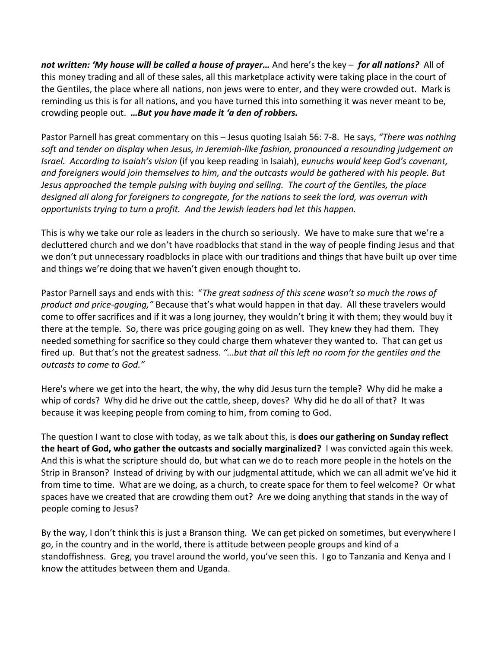*not written: 'My house will be called a house of prayer…* And here's the key – *for all nations?* All of this money trading and all of these sales, all this marketplace activity were taking place in the court of the Gentiles, the place where all nations, non jews were to enter, and they were crowded out. Mark is reminding us this is for all nations, and you have turned this into something it was never meant to be, crowding people out. *…But you have made it 'a den of robbers.*

Pastor Parnell has great commentary on this – Jesus quoting Isaiah 56: 7-8. He says, *"There was nothing soft and tender on display when Jesus, in Jeremiah-like fashion, pronounced a resounding judgement on Israel. According to Isaiah's vision* (if you keep reading in Isaiah), *eunuchs would keep God's covenant, and foreigners would join themselves to him, and the outcasts would be gathered with his people. But Jesus approached the temple pulsing with buying and selling. The court of the Gentiles, the place designed all along for foreigners to congregate, for the nations to seek the lord, was overrun with opportunists trying to turn a profit. And the Jewish leaders had let this happen.*

This is why we take our role as leaders in the church so seriously. We have to make sure that we're a decluttered church and we don't have roadblocks that stand in the way of people finding Jesus and that we don't put unnecessary roadblocks in place with our traditions and things that have built up over time and things we're doing that we haven't given enough thought to.

Pastor Parnell says and ends with this: "*The great sadness of this scene wasn't so much the rows of product and price-gouging,"* Because that's what would happen in that day. All these travelers would come to offer sacrifices and if it was a long journey, they wouldn't bring it with them; they would buy it there at the temple. So, there was price gouging going on as well. They knew they had them. They needed something for sacrifice so they could charge them whatever they wanted to. That can get us fired up. But that's not the greatest sadness. *"…but that all this left no room for the gentiles and the outcasts to come to God."*

Here's where we get into the heart, the why, the why did Jesus turn the temple? Why did he make a whip of cords? Why did he drive out the cattle, sheep, doves? Why did he do all of that? It was because it was keeping people from coming to him, from coming to God.

The question I want to close with today, as we talk about this, is **does our gathering on Sunday reflect the heart of God, who gather the outcasts and socially marginalized?** I was convicted again this week. And this is what the scripture should do, but what can we do to reach more people in the hotels on the Strip in Branson? Instead of driving by with our judgmental attitude, which we can all admit we've hid it from time to time. What are we doing, as a church, to create space for them to feel welcome? Or what spaces have we created that are crowding them out? Are we doing anything that stands in the way of people coming to Jesus?

By the way, I don't think this is just a Branson thing. We can get picked on sometimes, but everywhere I go, in the country and in the world, there is attitude between people groups and kind of a standoffishness. Greg, you travel around the world, you've seen this. I go to Tanzania and Kenya and I know the attitudes between them and Uganda.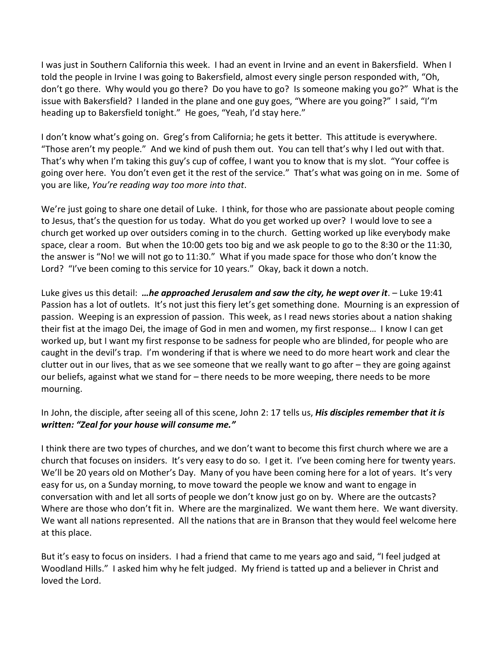I was just in Southern California this week. I had an event in Irvine and an event in Bakersfield. When I told the people in Irvine I was going to Bakersfield, almost every single person responded with, "Oh, don't go there. Why would you go there? Do you have to go? Is someone making you go?" What is the issue with Bakersfield? I landed in the plane and one guy goes, "Where are you going?" I said, "I'm heading up to Bakersfield tonight." He goes, "Yeah, I'd stay here."

I don't know what's going on. Greg's from California; he gets it better. This attitude is everywhere. "Those aren't my people." And we kind of push them out. You can tell that's why I led out with that. That's why when I'm taking this guy's cup of coffee, I want you to know that is my slot. "Your coffee is going over here. You don't even get it the rest of the service." That's what was going on in me. Some of you are like, *You're reading way too more into that*.

We're just going to share one detail of Luke. I think, for those who are passionate about people coming to Jesus, that's the question for us today. What do you get worked up over? I would love to see a church get worked up over outsiders coming in to the church. Getting worked up like everybody make space, clear a room. But when the 10:00 gets too big and we ask people to go to the 8:30 or the 11:30, the answer is "No! we will not go to 11:30." What if you made space for those who don't know the Lord? "I've been coming to this service for 10 years." Okay, back it down a notch.

Luke gives us this detail: *…he approached Jerusalem and saw the city, he wept over it*. – Luke 19:41 Passion has a lot of outlets. It's not just this fiery let's get something done. Mourning is an expression of passion. Weeping is an expression of passion. This week, as I read news stories about a nation shaking their fist at the imago Dei, the image of God in men and women, my first response… I know I can get worked up, but I want my first response to be sadness for people who are blinded, for people who are caught in the devil's trap. I'm wondering if that is where we need to do more heart work and clear the clutter out in our lives, that as we see someone that we really want to go after – they are going against our beliefs, against what we stand for – there needs to be more weeping, there needs to be more mourning.

## In John, the disciple, after seeing all of this scene, John 2: 17 tells us, *His disciples remember that it is written: "Zeal for your house will consume me."*

I think there are two types of churches, and we don't want to become this first church where we are a church that focuses on insiders. It's very easy to do so. I get it. I've been coming here for twenty years. We'll be 20 years old on Mother's Day. Many of you have been coming here for a lot of years. It's very easy for us, on a Sunday morning, to move toward the people we know and want to engage in conversation with and let all sorts of people we don't know just go on by. Where are the outcasts? Where are those who don't fit in. Where are the marginalized. We want them here. We want diversity. We want all nations represented. All the nations that are in Branson that they would feel welcome here at this place.

But it's easy to focus on insiders. I had a friend that came to me years ago and said, "I feel judged at Woodland Hills." I asked him why he felt judged. My friend is tatted up and a believer in Christ and loved the Lord.